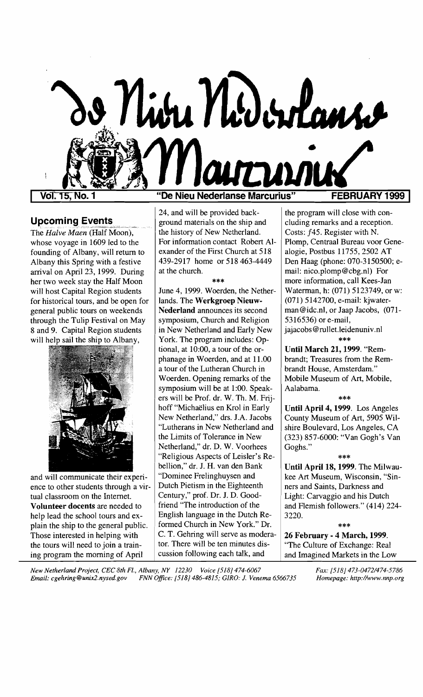

# Upcoming Events

The *Halve Maen* (Half Moon), whose voyage in 1609 led to the founding of Albany, will return to Albany this Spring with a festive arrival on April 23, 1999. During her two week stay the Half Moon will host Capital Region students for historical tours, and be open for general public tours on weekends through the Tulip Festival on May 8 and 9. Capital Region students will help sail the ship to Albany,



and will communicate their experience to other students through a virtual classroom on the Internet. Volunteer docents are needed to help lead the school tours and explain the ship to the general public. Those interested in helping with the tours will need to join a training program the morning of April

## **"De Nieu Nederlanse Marcurius"**

24, and will be provided background materials on the ship and the history of New Netherland. For information contact Robert Alexander of the First Church at 518 439-2917 home or 518 463-4449 at the church.

\*\*\*

June 4, 1999. Woerden, the Netherlands. The Werkgroep Nieuw-Nederland announces its second symposium, Church and Religion in New Netherland and Early New York. The program includes: Optional, at 10:00, a tour of the orphanage in Woerden, and at 11.00 a tour of the Lutheran Church in Woerden. Opening remarks of the symposium will be at 1:00. Speakers will be Prof. dr. W. Th. M. Frijhoff "Michaelius en Krol in Early New Netherland," drs. J.A. Jacobs "Lutherans in New Netherland and the Limits of Tolerance in New Netherland," dr. D. W. Voorhees "Religious Aspects of Leisler's Rebellion," dr. 1. H. van den Bank "Dominee Frelinghuysen and Dutch Pietism in the Eighteenth Century," prof. Dr. 1. D. Goodfriend "The introduction of the English language in the Dutch Reformed Church in New York." Dr. C. T. Gehring will serve as moderator. There will be ten minutes discussion following each talk, and

the program will close with concluding remarks and a reception. Costs: *f45.* Register with N. Plomp, Centraal Bureau voor Genealogie, Postbus 11755,2502 AT Den Haag (phone: 070-3150500; email: nico.plomp@cbg.nl) For more information, call Kees-Jan Waterman, h: (071) 5123749, or w: (071) 5142700, e-mail: kjwaterman@idc.nl, or Jaap Jacobs, (071 5316536) or e-mail, jajacobs@rullet.1eidenuniv.nl

\*\*\*

Until March 21, 1999. "Rembrandt; Treasures from the Rembrandt House, Amsterdam." Mobile Museum of Art, Mobile, Aalabama.

## \*\*\*

Until April 4, 1999. Los Angeles County Museum of Art, 5905 Wilshire Boulevard, Los Angeles, CA (323) 857-6000: "Van Gogh's Van Goghs."

## \*\*\*

Until April 18, 1999. The Milwaukee Art Museum, Wisconsin, "Sinners and Saints, Darkness and Light: Carvaggio and his Dutch and Flemish followers." (414) 224 3220.

### \*\*\*

26 February - 4 March, 1999. "The Culture of Exchange: Real and Imagined Markets in the Low

*New Netherland Project, CEC 8th Fl., Albany, NY 12230 Voice [518J 474-6067 Fax: [518J 473-0472/474-5786 Email: cgehring@unix2.nysed.gov FNN Office: [518J* 486-4815; *GIRO:* J. *Venema 6566735 Homepage: http://www.nnp.org*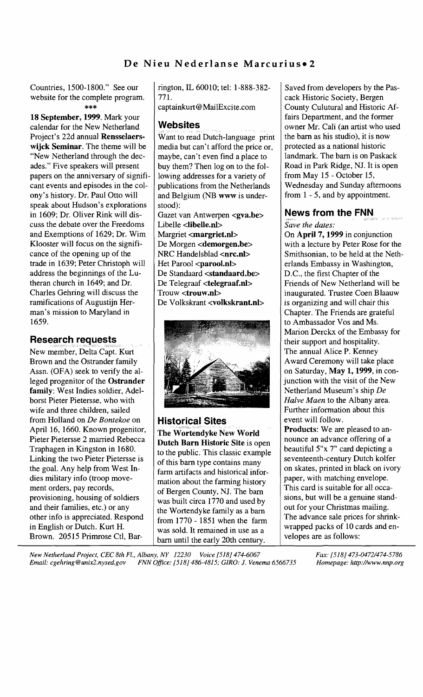# De Nieu Nederlanse Marcurius.

Countries, 1500-1800." See our  $\parallel$  rington, IL 60010; tel: 1-888-382- Saved from developers by the Paswebsite for the complete program.  $\begin{array}{c} \n \end{array}$  771.

calendar for the New Netherland 18 September, 1999. Mark your Project's 22d annual **Rensselaers-**  $\vert$  Want to read Dutch-language print  $\vert$  the barn as his studio), it is now wijck Seminar. The theme will be "New Netherland through the decades." Five speakers will present papers on the anniversary of significant events and episodes in the colony's history. Dr. Paul Otto will speak about Hudson's explorations in 1609; Dr. Oliver Rink will dis-  $\int$  Gazet van Antwerpen <gva.be> **News from the FNN** cuss the debate over the Freedoms Libelle <libelle.n1> *Save the dates:*  and Exemptions of 1629; Dr. Wim  $\parallel$  Margriet <**margriet.nl**>  $\parallel$  On April 7, 1999 in conjunction Klooster will focus on the signifi-  $\vert$  De Morgen <demorgen.be>  $\vert$  with a lecture by Peter Rose for the cance of the opening up of the  $|NRC$  Handelsblad  $\langle nrc.nl \rangle$   $|S$ mithsonian, to be held at the Nethtrade in 1639; Peter Christoph will  $\left|$  Het Parool <parool.nl>  $\left|$  erlands Embassy in Washington, address the beginnings of the Lu-  $\vert$  De Standaard <**standaard.be**>  $\vert$  D.C., the first Chapter of the theran church in 1649; and Dr.  $\begin{array}{|l|l|}\n\hline\n\end{array}$  De Telegraaf <**telegraaf.nl>**  $\begin{array}{|l|l|}\n\hline\n\end{array}$  Friends of New Netherland will be Charles Gehring will discuss the Trouw <**trouw.nl>** inaugurated. Trustee Coen ramifications of Augustijn Her-<br>  $\vert$  De Volkskrant <volkskrant.nl><br>
is organizing and will chair this man's mission to Maryland in <br>1659. Chapter. The Friends are grateful<br>to Ambassador Vos and Ms.

# Research requests

New member, Delta Capt. Kurt wife and three children, sailed **Further information about this** from Holland on *De Bontekoe* on **Historical Sites** event will follow.<br>April 16, 1660. Known progenitor, **Historical Sites** Moved by **Products**: We are pleased to an-April 16, 1660. Known progenitor, The Wortendyke New World Products: We are pleased to an-<br>Pieter Pietersse 2 married Rebecca Dutch Born Historic Site is agen. nounce an advance offering of a dies military info (troop move-<br>ment orders, pay records,<br>provisioning, housing of soldiers<br>and their families, etc.) or any<br>different county, NJ. The barries and their families, etc.) or any<br>the Wortendyke family as a bar other info is appreciated. Respond<br>in English or Dutch. Kurt H. we sell the remained in use as a sum wrapped packs of 10 cards and en-

media but can't afford the price or, maybe, can't even find a place to buy them? Then log on to the following addresses for a variety of publications from the Netherlands and Belgium (NB www is understood):



was sold. It remained in use as a  $\left\{\n \begin{array}{c}\n \text{wrappeu pacs on 10 oz} \\
 \text{velopes are as follows:}\n \end{array}\n \right\}$ Brown. 20515 Primrose Ctl, Bar- $\begin{array}{c|c}\n\hline\n\text{bar until the early 20th century.}\n\end{array}$ 

\*\*\* captainkurt@MailExcite.com County Culutural and Historic Affairs Department, and the former **Websites or all interval in the U** owner Mr. Cali (an artist who used protected as a national historic landmark. The bam is on Paskack Road in Park Ridge, NJ. It is open from May 15 - October 15, Wednesday and Sunday afternoons from 1 - 5, and by appointment.

Trouw <trouw.nl> | inaugurated. Trustee Coen Blaauw to Ambassador Vos and Ms. Marion Derckx of the Embassy for their support and hospitality. The annual Alice P. Kenney

Pieter Pietersse 2 married Rebecca<br>
Traphagen in Kingston in 1680.<br>
Linking the two Pieter Pietersse is<br>
the goal. Any help from West In-<br>
farm artifacts and historical infor-<br>
the goal. Any help from West In-<br>
the goal. A

*New Netherland Project, CEC 8th Fl., Albany, NY 12230 Voice [518J474-6067 Fax: [518J 473-0472/474-5786 Email: cgehring@unix2.nysed.gov FNN Office: [518J* 486-4815; *G1RO:* J. *Venema 6566735 Homepage: http://www.nnp.org*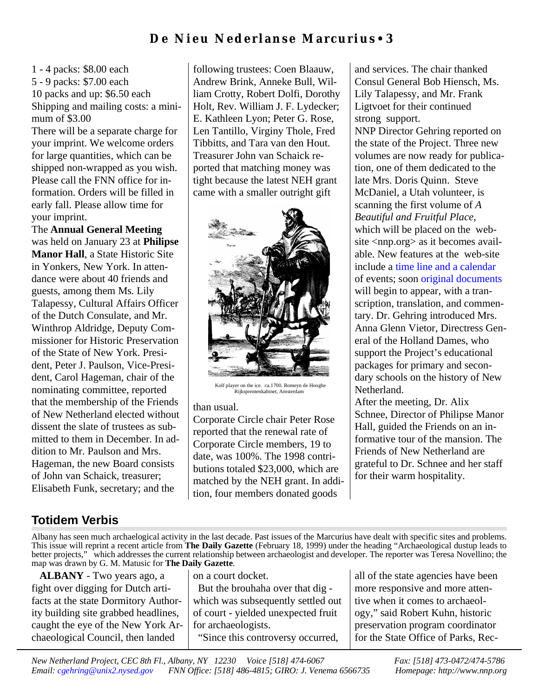# **De Nieu N ed e rl an se Mar c urius** • **3**

1 - 4 packs: \$8.00 each 5 - 9 packs: \$7.00 each 10 packs and up: \$6.50 each Shipping and mailing costs: a minimum of \$3.00

There will be a separate charge for your imprint. We welcome orders for large quantities, which can be shipped non-wrapped as you wish. Please call the FNN office for information. Orders will be filled in early fall. Please allow time for your imprint.

The **Annual General Meeting** was held on January 23 at **Philipse Manor Hall**, a State Historic Site in Yonkers, New York. In attendance were about 40 friends and guests, among them Ms. Lily Talapessy, Cultural Affairs Officer of the Dutch Consulate, and Mr. Winthrop Aldridge, Deputy Commissioner for Historic Preservation of the State of New York. President, Peter J. Paulson, Vice-President, Carol Hageman, chair of the nominating committee, reported that the membership of the Friends of New Netherland elected without dissent the slate of trustees as submitted to them in December. In addition to Mr. Paulson and Mrs. Hageman, the new Board consists of John van Schaick, treasurer; Elisabeth Funk, secretary; and the

following trustees: Coen Blaauw, Andrew Brink, Anneke Bull, William Crotty, Robert Dolfi, Dorothy Holt, Rev. William J. F. Lydecker; E. Kathleen Lyon; Peter G. Rose, Len Tantillo, Virginy Thole, Fred Tibbitts, and Tara van den Hout. Treasurer John van Schaick reported that matching money was tight because the latest NEH grant came with a smaller outright gift



Kolf player on the ice. ca.1700. Romeyn de Hooghe Rijksprentenkabinet, Amsterdam

## than usual.

Corporate Circle chair Peter Rose reported that the renewal rate of Corporate Circle members, 19 to date, was 100%. The 1998 contributions totaled \$23,000, which are matched by the NEH grant. In addition, four members donated goods

and services. The chair thanked Consul General Bob Hiensch, Ms. Lily Talapessy, and Mr. Frank Ligtvoet for their continued strong support.

NNP Director Gehring reported on the state of the Project. Three new volumes are now ready for publication, one of them dedicated to the late Mrs. Doris Quinn. Steve McDaniel, a Utah volunteer, is scanning the first volume of *A Beautiful and Fruitful Place*, which will be placed on the website <nnp.org> as it becomes available. New features at the web-site include a [time line and a calendar](http:/www.nnp.org/more.html) of events; soon [original documents](http://www.nnp.org/documents/index.shtml) will begin to appear, with a transcription, translation, and commentary. Dr. Gehring introduced Mrs. Anna Glenn Vietor, Directress General of the Holland Dames, who support the Project's educational packages for primary and secondary schools on the history of New Netherland.

After the meeting, Dr. Alix Schnee, Director of Philipse Manor Hall, guided the Friends on an informative tour of the mansion. The Friends of New Netherland are grateful to Dr. Schnee and her staff for their warm hospitality.

# **Totidem Verbis**

Albany has seen much archaelogical activity in the last decade. Past issues of the Marcurius have dealt with specific sites and problems. This issue will reprint a recent article from **The Daily Gazette** (February 18, 1999) under the heading "Archaeological dustup leads to better projects," which addresses the current relationship between archaeologist and developer. The reporter was Teresa Novellino; the map was drawn by G. M. Matusic for **The Daily Gazette**.

 **ALBANY** - Two years ago, a fight over digging for Dutch artifacts at the state Dormitory Authority building site grabbed headlines, caught the eye of the New York Archaeological Council, then landed

on a court docket.

 But the brouhaha over that dig which was subsequently settled out of court - yielded unexpected fruit for archaeologists. "Since this controversy occurred,

all of the state agencies have been more responsive and more attentive when it comes to archaeology," said Robert Kuhn, historic preservation program coordinator for the State Office of Parks, Rec-

*New Netherland Project, CEC 8th Fl., Albany, NY 12230 Voice [518] 474-6067 Fax: [518] 473-0472/474-5786 Email: [cgehring@unix2.nysed.gov](mailto:cgehring@unix2.nysd.gov) FNN Office: [518] 486-4815; GIRO: J. Venema 6566735 Homepage: http://www.nnp.org*